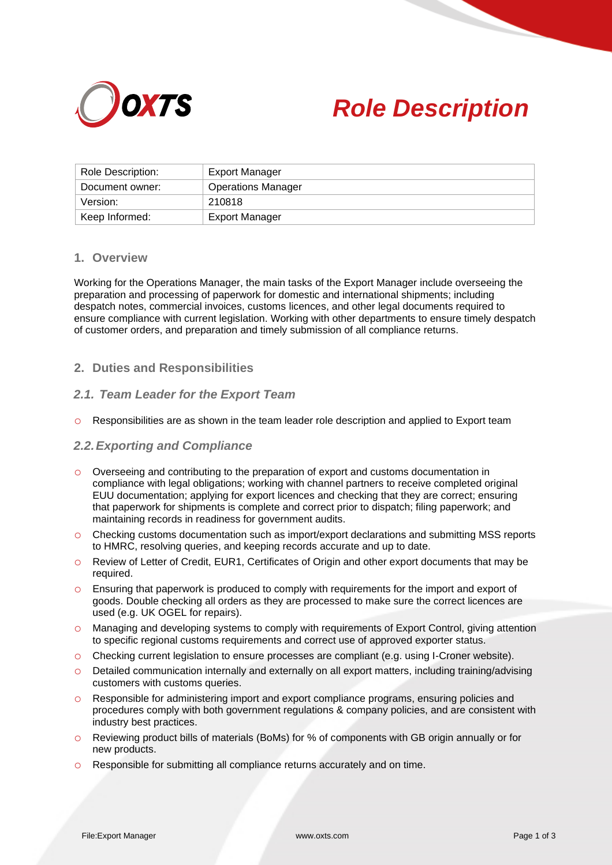



| Role Description: | Export Manager            |
|-------------------|---------------------------|
| Document owner:   | <b>Operations Manager</b> |
| Version:          | 210818                    |
| Keep Informed:    | <b>Export Manager</b>     |

# **1. Overview**

Working for the Operations Manager, the main tasks of the Export Manager include overseeing the preparation and processing of paperwork for domestic and international shipments; including despatch notes, commercial invoices, customs licences, and other legal documents required to ensure compliance with current legislation. Working with other departments to ensure timely despatch of customer orders, and preparation and timely submission of all compliance returns.

# **2. Duties and Responsibilities**

## *2.1. Team Leader for the Export Team*

o Responsibilities are as shown in the team leader role description and applied to Export team

## *2.2.Exporting and Compliance*

- o Overseeing and contributing to the preparation of export and customs documentation in compliance with legal obligations; working with channel partners to receive completed original EUU documentation; applying for export licences and checking that they are correct; ensuring that paperwork for shipments is complete and correct prior to dispatch; filing paperwork; and maintaining records in readiness for government audits.
- o Checking customs documentation such as import/export declarations and submitting MSS reports to HMRC, resolving queries, and keeping records accurate and up to date.
- o Review of Letter of Credit, EUR1, Certificates of Origin and other export documents that may be required.
- o Ensuring that paperwork is produced to comply with requirements for the import and export of goods. Double checking all orders as they are processed to make sure the correct licences are used (e.g. UK OGEL for repairs).
- o Managing and developing systems to comply with requirements of Export Control, giving attention to specific regional customs requirements and correct use of approved exporter status.
- o Checking current legislation to ensure processes are compliant (e.g. using I-Croner website).
- o Detailed communication internally and externally on all export matters, including training/advising customers with customs queries.
- o Responsible for administering import and export compliance programs, ensuring policies and procedures comply with both government regulations & company policies, and are consistent with industry best practices.
- o Reviewing product bills of materials (BoMs) for % of components with GB origin annually or for new products.
- o Responsible for submitting all compliance returns accurately and on time.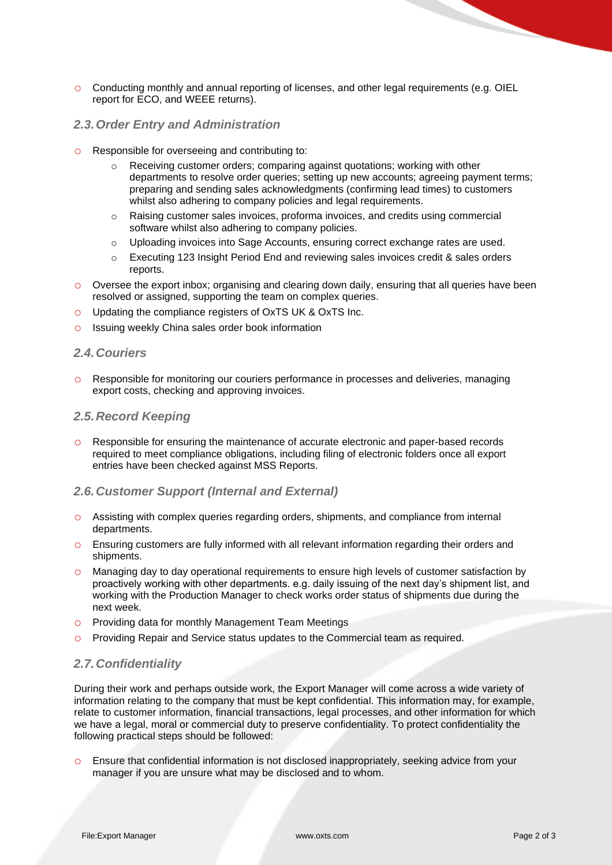o Conducting monthly and annual reporting of licenses, and other legal requirements (e.g. OIEL report for ECO, and WEEE returns).

## *2.3.Order Entry and Administration*

- o Responsible for overseeing and contributing to:
	- o Receiving customer orders; comparing against quotations; working with other departments to resolve order queries; setting up new accounts; agreeing payment terms; preparing and sending sales acknowledgments (confirming lead times) to customers whilst also adhering to company policies and legal requirements.
	- $\circ$  Raising customer sales invoices, proforma invoices, and credits using commercial software whilst also adhering to company policies.
	- o Uploading invoices into Sage Accounts, ensuring correct exchange rates are used.
	- o Executing 123 Insight Period End and reviewing sales invoices credit & sales orders reports.
- o Oversee the export inbox; organising and clearing down daily, ensuring that all queries have been resolved or assigned, supporting the team on complex queries.
- o Updating the compliance registers of OxTS UK & OxTS Inc.
- o Issuing weekly China sales order book information

#### *2.4.Couriers*

o Responsible for monitoring our couriers performance in processes and deliveries, managing export costs, checking and approving invoices.

#### *2.5.Record Keeping*

o Responsible for ensuring the maintenance of accurate electronic and paper-based records required to meet compliance obligations, including filing of electronic folders once all export entries have been checked against MSS Reports.

## *2.6.Customer Support (Internal and External)*

- o Assisting with complex queries regarding orders, shipments, and compliance from internal departments.
- o Ensuring customers are fully informed with all relevant information regarding their orders and shipments.
- o Managing day to day operational requirements to ensure high levels of customer satisfaction by proactively working with other departments. e.g. daily issuing of the next day's shipment list, and working with the Production Manager to check works order status of shipments due during the next week.
- o Providing data for monthly Management Team Meetings
- o Providing Repair and Service status updates to the Commercial team as required.

# *2.7.Confidentiality*

During their work and perhaps outside work, the Export Manager will come across a wide variety of information relating to the company that must be kept confidential. This information may, for example, relate to customer information, financial transactions, legal processes, and other information for which we have a legal, moral or commercial duty to preserve confidentiality. To protect confidentiality the following practical steps should be followed:

o Ensure that confidential information is not disclosed inappropriately, seeking advice from your manager if you are unsure what may be disclosed and to whom.